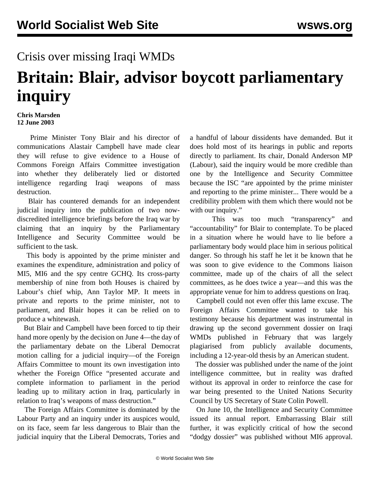## Crisis over missing Iraqi WMDs

## **Britain: Blair, advisor boycott parliamentary inquiry**

## **Chris Marsden 12 June 2003**

 Prime Minister Tony Blair and his director of communications Alastair Campbell have made clear they will refuse to give evidence to a House of Commons Foreign Affairs Committee investigation into whether they deliberately lied or distorted intelligence regarding Iraqi weapons of mass destruction.

 Blair has countered demands for an independent judicial inquiry into the publication of two nowdiscredited intelligence briefings before the Iraq war by claiming that an inquiry by the Parliamentary Intelligence and Security Committee would be sufficient to the task.

 This body is appointed by the prime minister and examines the expenditure, administration and policy of MI5, MI6 and the spy centre GCHQ. Its cross-party membership of nine from both Houses is chaired by Labour's chief whip, Ann Taylor MP. It meets in private and reports to the prime minister, not to parliament, and Blair hopes it can be relied on to produce a whitewash.

 But Blair and Campbell have been forced to tip their hand more openly by the decision on June 4—the day of the parliamentary debate on the Liberal Democrat motion calling for a judicial inquiry—of the Foreign Affairs Committee to mount its own investigation into whether the Foreign Office "presented accurate and complete information to parliament in the period leading up to military action in Iraq, particularly in relation to Iraq's weapons of mass destruction."

 The Foreign Affairs Committee is dominated by the Labour Party and an inquiry under its auspices would, on its face, seem far less dangerous to Blair than the judicial inquiry that the Liberal Democrats, Tories and a handful of labour dissidents have demanded. But it does hold most of its hearings in public and reports directly to parliament. Its chair, Donald Anderson MP (Labour), said the inquiry would be more credible than one by the Intelligence and Security Committee because the ISC "are appointed by the prime minister and reporting to the prime minister... There would be a credibility problem with them which there would not be with our inquiry."

 This was too much "transparency" and "accountability" for Blair to contemplate. To be placed in a situation where he would have to lie before a parliamentary body would place him in serious political danger. So through his staff he let it be known that he was soon to give evidence to the Commons liaison committee, made up of the chairs of all the select committees, as he does twice a year—and this was the appropriate venue for him to address questions on Iraq.

 Campbell could not even offer this lame excuse. The Foreign Affairs Committee wanted to take his testimony because his department was instrumental in drawing up the second government dossier on Iraqi WMDs published in February that was largely plagiarised from publicly available documents, including a 12-year-old thesis by an American student.

 The dossier was published under the name of the joint intelligence committee, but in reality was drafted without its approval in order to reinforce the case for war being presented to the United Nations Security Council by US Secretary of State Colin Powell.

 On June 10, the Intelligence and Security Committee issued its annual report. Embarrassing Blair still further, it was explicitly critical of how the second "dodgy dossier" was published without MI6 approval.